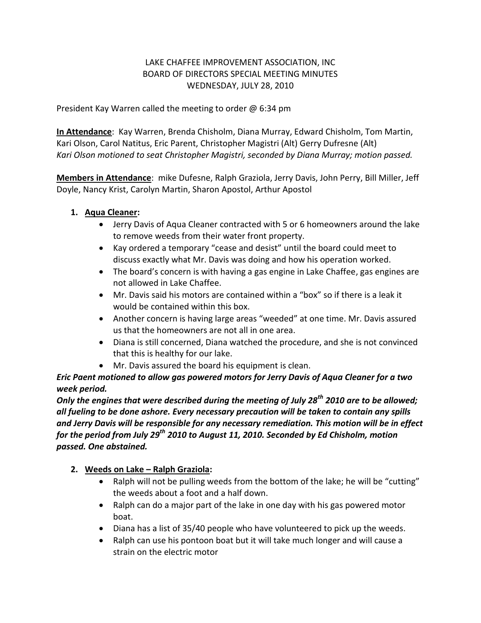## LAKE CHAFFEE IMPROVEMENT ASSOCIATION, INC BOARD OF DIRECTORS SPECIAL MEETING MINUTES WEDNESDAY, JULY 28, 2010

President Kay Warren called the meeting to order  $\omega$  6:34 pm

**In Attendance**: Kay Warren, Brenda Chisholm, Diana Murray, Edward Chisholm, Tom Martin, Kari Olson, Carol Natitus, Eric Parent, Christopher Magistri (Alt) Gerry Dufresne (Alt) *Kari Olson motioned to seat Christopher Magistri, seconded by Diana Murray; motion passed.*

**Members in Attendance**: mike Dufesne, Ralph Graziola, Jerry Davis, John Perry, Bill Miller, Jeff Doyle, Nancy Krist, Carolyn Martin, Sharon Apostol, Arthur Apostol

- **1. Aqua Cleaner:**
	- Jerry Davis of Aqua Cleaner contracted with 5 or 6 homeowners around the lake to remove weeds from their water front property.
	- Kay ordered a temporary "cease and desist" until the board could meet to discuss exactly what Mr. Davis was doing and how his operation worked.
	- The board's concern is with having a gas engine in Lake Chaffee, gas engines are not allowed in Lake Chaffee.
	- Mr. Davis said his motors are contained within a "box" so if there is a leak it would be contained within this box.
	- Another concern is having large areas "weeded" at one time. Mr. Davis assured us that the homeowners are not all in one area.
	- Diana is still concerned, Diana watched the procedure, and she is not convinced that this is healthy for our lake.
	- Mr. Davis assured the board his equipment is clean.

*Eric Paent motioned to allow gas powered motors for Jerry Davis of Aqua Cleaner for a two week period.*

*Only the engines that were described during the meeting of July 28th 2010 are to be allowed; all fueling to be done ashore. Every necessary precaution will be taken to contain any spills and Jerry Davis will be responsible for any necessary remediation. This motion will be in effect for the period from July 29th 2010 to August 11, 2010. Seconded by Ed Chisholm, motion passed. One abstained.*

## **2. Weeds on Lake – Ralph Graziola:**

- Ralph will not be pulling weeds from the bottom of the lake; he will be "cutting" the weeds about a foot and a half down.
- Ralph can do a major part of the lake in one day with his gas powered motor boat.
- Diana has a list of 35/40 people who have volunteered to pick up the weeds.
- Ralph can use his pontoon boat but it will take much longer and will cause a strain on the electric motor